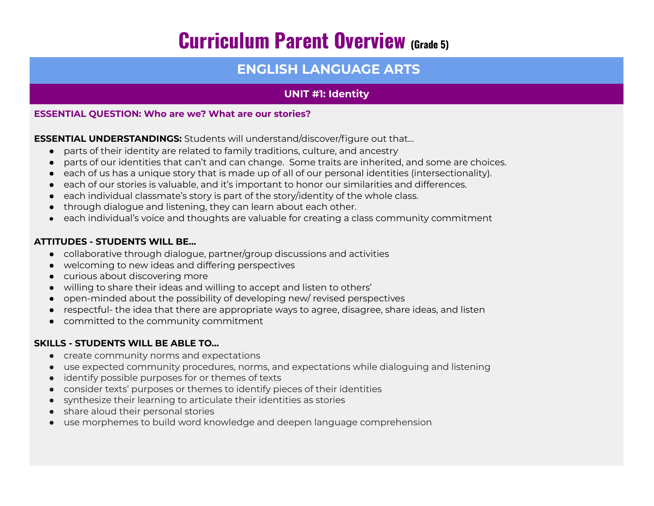# **Curriculum Parent Overview (Grade 5)**

# **ENGLISH LANGUAGE ARTS**

## **UNIT #1: Identity**

#### **ESSENTIAL QUESTION: Who are we? What are our stories?**

**ESSENTIAL UNDERSTANDINGS:** Students will understand/discover/figure out that…

- parts of their identity are related to family traditions, culture, and ancestry
- parts of our identities that can't and can change. Some traits are inherited, and some are choices.
- each of us has a unique story that is made up of all of our personal identities (intersectionality).
- each of our stories is valuable, and it's important to honor our similarities and differences.
- each individual classmate's story is part of the story/identity of the whole class.
- through dialogue and listening, they can learn about each other.
- each individual's voice and thoughts are valuable for creating a class community commitment

### **ATTITUDES - STUDENTS WILL BE…**

- collaborative through dialogue, partner/group discussions and activities
- welcoming to new ideas and differing perspectives
- curious about discovering more
- willing to share their ideas and willing to accept and listen to others'
- open-minded about the possibility of developing new/ revised perspectives
- respectful- the idea that there are appropriate ways to agree, disagree, share ideas, and listen
- committed to the community commitment

### **SKILLS - STUDENTS WILL BE ABLE TO…**

- create community norms and expectations
- use expected community procedures, norms, and expectations while dialoguing and listening
- identify possible purposes for or themes of texts
- consider texts' purposes or themes to identify pieces of their identities
- synthesize their learning to articulate their identities as stories
- share aloud their personal stories
- use morphemes to build word knowledge and deepen language comprehension